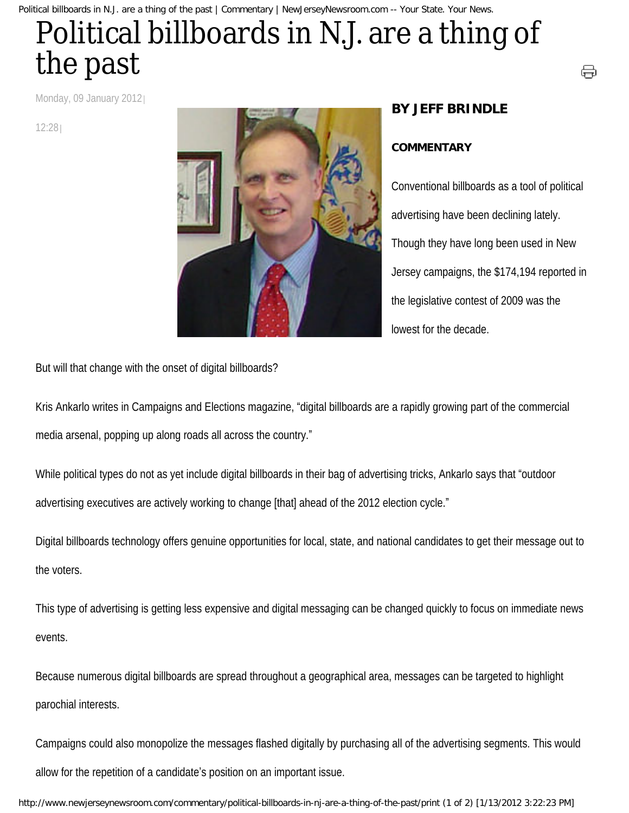Political billboards in N.J. are a thing of the past | Commentary | NewJerseyNewsroom.com -- Your State. Your News.

## Political billboards in N.J. are a thing of the past

Monday, 09 January 2012

12:28



## **BY JEFF BRINDLE**

## **COMMENTARY**

Conventional billboards as a tool of political advertising have been declining lately. Though they have long been used in New Jersey campaigns, the \$174,194 reported in the legislative contest of 2009 was the lowest for the decade.

⊖

But will that change with the onset of digital billboards?

Kris Ankarlo writes in Campaigns and Elections magazine, "digital billboards are a rapidly growing part of the commercial media arsenal, popping up along roads all across the country."

While political types do not as yet include digital billboards in their bag of advertising tricks, Ankarlo says that "outdoor advertising executives are actively working to change [that] ahead of the 2012 election cycle."

Digital billboards technology offers genuine opportunities for local, state, and national candidates to get their message out to the voters.

This type of advertising is getting less expensive and digital messaging can be changed quickly to focus on immediate news events.

Because numerous digital billboards are spread throughout a geographical area, messages can be targeted to highlight parochial interests.

Campaigns could also monopolize the messages flashed digitally by purchasing all of the advertising segments. This would allow for the repetition of a candidate's position on an important issue.

http://www.newjerseynewsroom.com/commentary/political-billboards-in-nj-are-a-thing-of-the-past/print (1 of 2) [1/13/2012 3:22:23 PM]